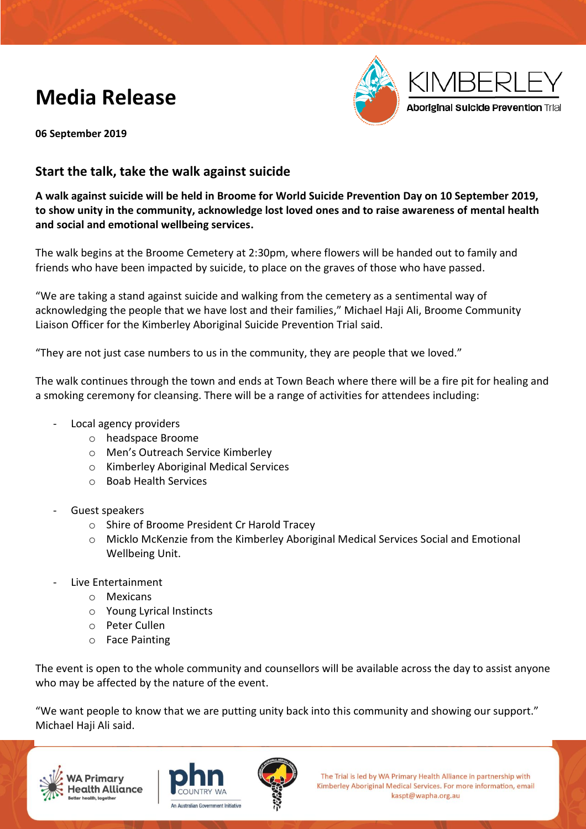### **Media Release**



**06 September 2019**

#### **Start the talk, take the walk against suicide**

**A walk against suicide will be held in Broome for World Suicide Prevention Day on 10 September 2019, to show unity in the community, acknowledge lost loved ones and to raise awareness of mental health and social and emotional wellbeing services.**

The walk begins at the Broome Cemetery at 2:30pm, where flowers will be handed out to family and friends who have been impacted by suicide, to place on the graves of those who have passed.

"We are taking a stand against suicide and walking from the cemetery as a sentimental way of acknowledging the people that we have lost and their families," Michael Haji Ali, Broome Community Liaison Officer for the Kimberley Aboriginal Suicide Prevention Trial said.

"They are not just case numbers to us in the community, they are people that we loved."

The walk continues through the town and ends at Town Beach where there will be a fire pit for healing and a smoking ceremony for cleansing. There will be a range of activities for attendees including:

- Local agency providers
	- o headspace Broome
	- o Men's Outreach Service Kimberley
	- o Kimberley Aboriginal Medical Services
	- o Boab Health Services
- Guest speakers
	- o Shire of Broome President Cr Harold Tracey
	- o Micklo McKenzie from the Kimberley Aboriginal Medical Services Social and Emotional Wellbeing Unit.
- Live Entertainment
	- o Mexicans
	- o Young Lyrical Instincts
	- o Peter Cullen
	- o Face Painting

The event is open to the whole community and counsellors will be available across the day to assist anyone who may be affected by the nature of the event.

"We want people to know that we are putting unity back into this community and showing our support." Michael Haji Ali said.







The Trial is led by WA Primary Health Alliance in partnership with Kimberley Aboriginal Medical Services. For more information, email kaspt@wapha.org.au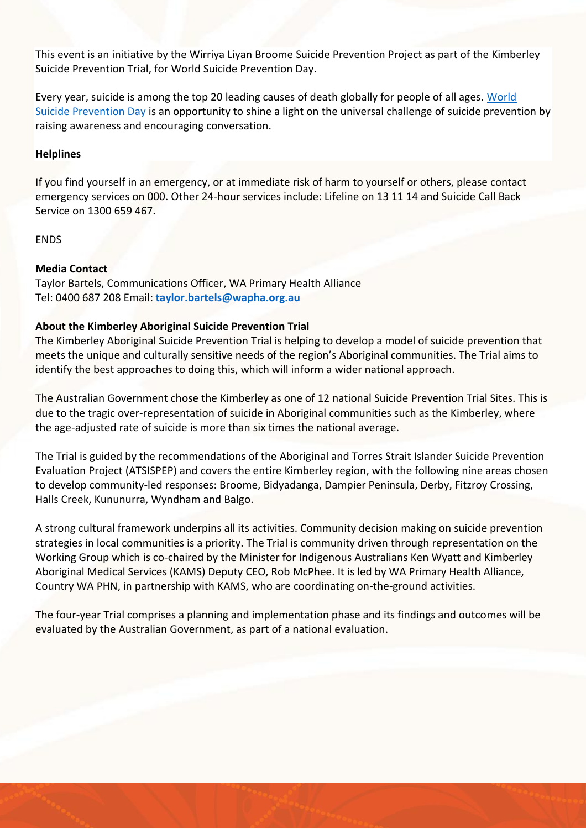This event is an initiative by the Wirriya Liyan Broome Suicide Prevention Project as part of the Kimberley Suicide Prevention Trial, for World Suicide Prevention Day.

Every year, suicide is among the top 20 leading causes of death globally for people of all ages. [World](https://www.suicidepreventionaust.org/world-suicide-prevention-day-2019/)  [Suicide Prevention Day](https://www.suicidepreventionaust.org/world-suicide-prevention-day-2019/) is an opportunity to shine a light on the universal challenge of suicide prevention by raising awareness and encouraging conversation.

#### **Helplines**

If you find yourself in an emergency, or at immediate risk of harm to yourself or others, please contact emergency services on 000. Other 24-hour services include: Lifeline on 13 11 14 and Suicide Call Back Service on 1300 659 467.

ENDS

#### **Media Contact**

Taylor Bartels, Communications Officer, WA Primary Health Alliance Tel: 0400 687 208 Email: **[taylor.bartels@wapha.org.au](mailto:taylor.bartels@wapha.org.au)**

#### **About the Kimberley Aboriginal Suicide Prevention Trial**

The Kimberley Aboriginal Suicide Prevention Trial is helping to develop a model of suicide prevention that meets the unique and culturally sensitive needs of the region's Aboriginal communities. The Trial aims to identify the best approaches to doing this, which will inform a wider national approach.

The Australian Government chose the Kimberley as one of 12 national Suicide Prevention Trial Sites. This is due to the tragic over-representation of suicide in Aboriginal communities such as the Kimberley, where the age-adjusted rate of suicide is more than six times the national average.

The Trial is guided by the recommendations of the Aboriginal and Torres Strait Islander Suicide Prevention Evaluation Project (ATSISPEP) and covers the entire Kimberley region, with the following nine areas chosen to develop community-led responses: Broome, Bidyadanga, Dampier Peninsula, Derby, Fitzroy Crossing, Halls Creek, Kununurra, Wyndham and Balgo.

A strong cultural framework underpins all its activities. Community decision making on suicide prevention strategies in local communities is a priority. The Trial is community driven through representation on the Working Group which is co-chaired by the Minister for Indigenous Australians Ken Wyatt and Kimberley Aboriginal Medical Services (KAMS) Deputy CEO, Rob McPhee. It is led by WA Primary Health Alliance, Country WA PHN, in partnership with KAMS, who are coordinating on-the-ground activities.

The four-year Trial comprises a planning and implementation phase and its findings and outcomes will be evaluated by the Australian Government, as part of a national evaluation.